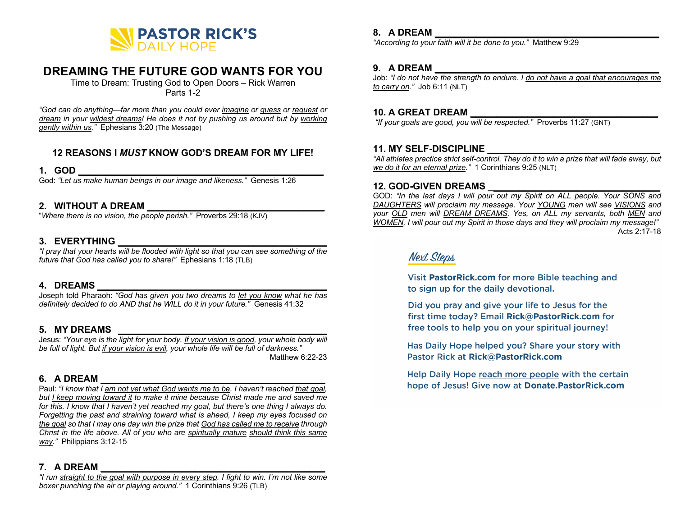

# **DREAMING THE FUTURE GOD WANTS FOR YOU**

Time to Dream: Trusting God to Open Doors – Rick Warren Parts 1-2

*"God can do anything—far more than you could ever imagine or guess or request or dream in your wildest dreams! He does it not by pushing us around but by working gently within us."* Ephesians 3:20 (The Message)

### **12 REASONS I** *MUST* **KNOW GOD'S DREAM FOR MY LIFE!**

#### **1. GOD \_\_\_\_\_\_\_\_\_\_\_\_\_\_\_\_\_\_\_\_\_\_\_\_\_\_\_\_\_\_\_\_\_\_\_\_\_\_\_\_\_\_\_\_\_\_\_**

God: *"Let us make human beings in our image and likeness."* Genesis 1:26

### **2. WITHOUT A DREAM \_\_\_\_\_\_\_\_\_\_\_\_\_\_\_\_\_\_\_\_\_\_\_\_\_\_\_\_\_\_\_\_\_\_**

"*Where there is no vision, the people perish."* Proverbs 29:18 (KJV)

#### **3. EVERYTHING \_\_\_\_\_\_\_\_\_\_\_\_\_\_\_\_\_\_\_\_\_\_\_\_\_\_\_\_\_\_\_\_\_\_\_\_\_\_\_\_**

*"I pray that your hearts will be flooded with light so that you can see something of the future that God has called you to share!"* Ephesians 1:18 (TLB)

#### **4. DREAMS \_\_\_\_\_\_\_\_\_\_\_\_\_\_\_\_\_\_\_\_\_\_\_\_\_\_\_\_\_\_\_\_\_\_\_\_\_\_\_\_\_\_\_\_**

Joseph told Pharaoh: *"God has given you two dreams to let you know what he has definitely decided to do AND that he WILL do it in your future."* Genesis 41:32

### **5. MY DREAMS \_\_\_\_\_\_\_\_\_\_\_\_\_\_\_\_\_\_\_\_\_\_\_\_\_\_\_\_\_\_\_\_\_\_\_\_\_\_\_\_**

Jesus: *"Your eye is the light for your body. If your vision is good, your whole body will be full of light. But if your vision is evil, your whole life will be full of darkness."* Matthew 6:22-23

#### **6. A DREAM \_\_\_\_\_\_\_\_\_\_\_\_\_\_\_\_\_\_\_\_\_\_\_\_\_\_\_\_\_\_\_\_\_\_\_\_\_\_\_\_\_\_\_**

Paul: *"I know that I am not yet what God wants me to be. I haven't reached that goal, but I keep moving toward it to make it mine because Christ made me and saved me for this. I know that I haven't yet reached my goal, but there's one thing I always do. Forgetting the past and straining toward what is ahead, I keep my eyes focused on the goal so that I may one day win the prize that God has called me to receive through Christ in the life above. All of you who are spiritually mature should think this same way."* Philippians 3:12-15

#### **7. A DREAM \_\_\_\_\_\_\_\_\_\_\_\_\_\_\_\_\_\_\_\_\_\_\_\_\_\_\_\_\_\_\_\_\_\_\_\_\_\_\_\_\_\_\_**

*"I run straight to the goal with purpose in every step. I fight to win. I'm not like some boxer punching the air or playing around."* 1 Corinthians 9:26 (TLB)

### **8. A DREAM \_\_\_\_\_\_\_\_\_\_\_\_\_\_\_\_\_\_\_\_\_\_\_\_\_\_\_\_\_\_\_\_\_\_\_\_\_\_\_\_\_\_\_**

*"According to your faith will it be done to you."* Matthew 9:29

#### **9. A DREAM \_\_\_\_\_\_\_\_\_\_\_\_\_\_\_\_\_\_\_\_\_\_\_\_\_\_\_\_\_\_\_\_\_\_\_\_\_\_\_\_\_\_\_**

Job: *"I do not have the strength to endure. I do not have a goal that encourages me to carry on."* Job 6:11 (NLT)

## **10. A GREAT DREAM \_\_\_\_\_\_\_\_\_\_\_\_\_\_\_\_\_\_\_\_\_\_\_\_\_\_\_\_\_\_\_\_\_\_\_\_**

*"If your goals are good, you will be respected."* Proverbs 11:27 (GNT)

### **11. MY SELF-DISCIPLINE \_\_\_\_\_\_\_\_\_\_\_\_\_\_\_\_\_\_\_\_\_\_\_\_\_\_\_\_\_\_\_\_\_**

*"All athletes practice strict self-control. They do it to win a prize that will fade away, but we do it for an eternal prize."* 1 Corinthians 9:25 (NLT)

#### **12. GOD-GIVEN DREAMS \_\_\_\_\_\_\_\_\_\_\_\_\_\_\_\_\_\_\_\_\_\_\_\_\_\_\_\_\_\_\_\_\_**

GOD: *"In the last days I will pour out my Spirit on ALL people. Your SONS and DAUGHTERS will proclaim my message. Your YOUNG men will see VISIONS and your OLD men will DREAM DREAMS. Yes, on ALL my servants, both MEN and WOMEN, I will pour out my Spirit in those days and they will proclaim my message!"*  Acts 2:17-18

# **Next Steps**

Visit PastorRick.com for more Bible teaching and to sign up for the daily devotional.

Did you pray and give your life to Jesus for the first time today? Email Rick@PastorRick.com for free tools to help you on your spiritual journey!

Has Daily Hope helped you? Share your story with Pastor Rick at Rick@PastorRick.com

Help Daily Hope reach more people with the certain hope of Jesus! Give now at Donate.PastorRick.com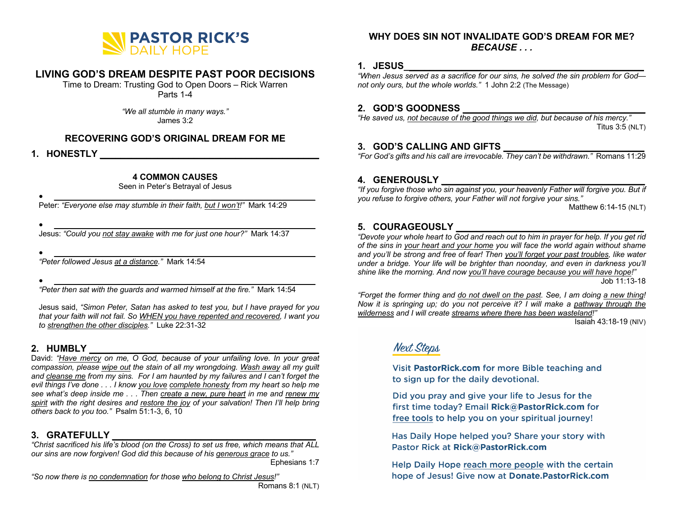

# **LIVING GOD'S DREAM DESPITE PAST POOR DECISIONS**

Time to Dream: Trusting God to Open Doors – Rick Warren Parts 1-4

> *"We all stumble in many ways."* James 3:2

#### **RECOVERING GOD'S ORIGINAL DREAM FOR ME**

**1. HONESTLY \_\_\_\_\_\_\_\_\_\_\_\_\_\_\_\_\_\_\_\_\_\_\_\_\_\_\_\_\_\_\_\_\_\_\_\_\_\_\_\_\_\_**

#### **4 COMMON CAUSES**

Seen in Peter's Betrayal of Jesus

 $\bullet$   $\qquad \qquad$ Peter: *"Everyone else may stumble in their faith, but I won't!"* Mark 14:29

• **\_\_\_\_\_\_\_\_\_\_\_\_\_\_\_\_\_\_\_\_\_\_\_\_\_\_\_\_\_\_\_\_\_\_\_\_\_\_\_\_\_\_\_\_\_\_\_\_\_\_\_\_\_\_\_**

Jesus: *"Could you not stay awake with me for just one hour?"* Mark 14:37

• **\_\_\_\_\_\_\_\_\_\_\_\_\_\_\_\_\_\_\_\_\_\_\_\_\_\_\_\_\_\_\_\_\_\_\_\_\_\_\_\_\_\_\_\_\_\_\_\_\_\_\_\_\_\_\_**

*"Peter followed Jesus at a distance."* Mark 14:54

 $\bullet$   $\qquad \qquad$ 

*"Peter then sat with the guards and warmed himself at the fire."* Mark 14:54

Jesus said, *"Simon Peter, Satan has asked to test you, but I have prayed for you that your faith will not fail. So WHEN you have repented and recovered, I want you to strengthen the other disciples."* Luke 22:31-32

### **2. HUMBLY \_\_\_\_\_\_\_\_\_\_\_\_\_\_\_\_\_\_\_\_\_\_\_\_\_\_\_\_\_\_\_\_\_\_\_\_\_\_\_\_\_\_\_\_**

David: *"Have mercy on me, O God, because of your unfailing love. In your great compassion, please wipe out the stain of all my wrongdoing. Wash away all my guilt and cleanse me from my sins. For I am haunted by my failures and I can't forget the evil things I've done . . . I know you love complete honesty from my heart so help me see what's deep inside me . . . Then create a new, pure heart in me and renew my spirit with the right desires and restore the joy of your salvation! Then I'll help bring others back to you too."* Psalm 51:1-3, 6, 10

## **3. GRATEFULLY \_\_\_\_\_\_\_\_\_\_\_\_\_\_\_\_\_\_\_\_\_\_\_\_\_\_\_\_\_\_\_\_\_\_\_\_\_\_\_**

*"Christ sacrificed his life's blood (on the Cross) to set us free, which means that ALL our sins are now forgiven! God did this because of his generous grace to us."*  Ephesians 1:7

*"So now there is no condemnation for those who belong to Christ Jesus!"*

Romans 8:1 (NLT)

#### **WHY DOES SIN NOT INVALIDATE GOD'S DREAM FOR ME?** *BECAUSE . . .*

#### **1. JESUS\_\_\_\_\_\_\_\_\_\_\_\_\_\_\_\_\_\_\_\_\_\_\_\_\_\_\_\_\_\_\_\_\_\_\_\_\_\_\_\_\_\_\_\_\_\_**

*"When Jesus served as a sacrifice for our sins, he solved the sin problem for God not only ours, but the whole worlds."* 1 John 2:2 (The Message)

### **2. GOD'S GOODNESS \_\_\_\_\_\_\_\_\_\_\_\_\_\_\_\_\_\_\_\_\_\_\_\_\_\_\_\_\_\_\_\_\_\_\_**

*"He saved us, not because of the good things we did, but because of his mercy."* Titus 3:5 (NLT)

#### **3. GOD'S CALLING AND GIFTS \_\_\_\_\_\_\_\_\_\_\_\_\_\_\_\_\_\_\_\_\_\_\_\_\_\_\_**

*"For God's gifts and his call are irrevocable. They can't be withdrawn."* Romans 11:29

### **4. GENEROUSLY \_\_\_\_\_\_\_\_\_\_\_\_\_\_\_\_\_\_\_\_\_\_\_\_\_\_\_\_\_\_\_\_\_\_\_\_\_\_\_**

*"If you forgive those who sin against you, your heavenly Father will forgive you. But if you refuse to forgive others, your Father will not forgive your sins."*

Matthew 6:14-15 (NLT)

#### **5. COURAGEOUSLY \_\_\_\_\_\_\_\_\_\_\_\_\_\_\_\_\_\_\_\_\_\_\_\_\_\_\_\_\_\_\_\_\_\_\_\_**

*"Devote your whole heart to God and reach out to him in prayer for help. If you get rid of the sins in your heart and your home you will face the world again without shame and you'll be strong and free of fear! Then you'll forget your past troubles, like water under a bridge. Your life will be brighter than noonday, and even in darkness you'll shine like the morning. And now you'll have courage because you will have hope!"*  Job 11:13-18

*"Forget the former thing and do not dwell on the past. See, I am doing a new thing! Now it is springing up; do you not perceive it? I will make a pathway through the wilderness and I will create streams where there has been wasteland!"*

Isaiah 43:18-19 (NIV)

# Next Steps

Visit PastorRick.com for more Bible teaching and to sign up for the daily devotional.

Did you pray and give your life to Jesus for the first time today? Email Rick@PastorRick.com for free tools to help you on your spiritual journey!

Has Daily Hope helped you? Share your story with Pastor Rick at Rick@PastorRick.com

Help Daily Hope reach more people with the certain hope of Jesus! Give now at Donate.PastorRick.com